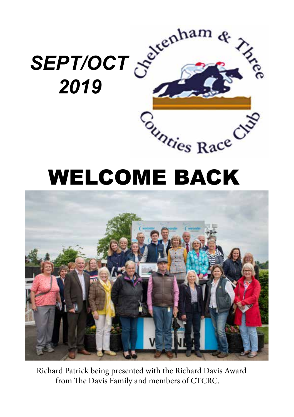

# WELCOME BACK



 Richard Patrick being presented with the Richard Davis Award from The Davis Family and members of CTCRC.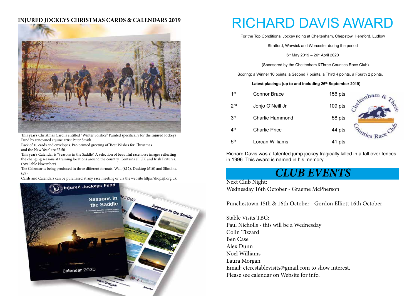### **INJURED JOCKEYS CHRISTMAS CARDS & CALENDARS 2019**



This year's Christmas Card is entitled "Winter Solstice" Painted specifically for the Injured Jockeys Fund by renowned equine artist Peter Smith.

Pack of 10 cards and envelopes. Pre-printed greeting of 'Best Wishes for Christmas and the New Year' are £7.50

This year's Calendar is "Seasons in the Saddle". A selection of beautiful racehorse images reflecting the changing seasons at training locations around the country. Contains all UK and Irish Fixtures. (Available November)

The Calendar is being produced in three different formats, Wall (£12), Desktop (£10) and Slimline.  $(f.9)$ .

Cards and Calendars can be purchased at any race meeting or via the website http://shop.ijf.org.uk



# RICHARD DAVIS AWARD

For the Top Conditional Jockey riding at Cheltenham, Chepstow, Hereford, Ludlow

Stratford, Warwick and Worcester during the period

6th May 2019 – 26th April 2020

(Sponsored by the Cheltenham &Three Counties Race Club)

Scoring: a Winner 10 points, a Second 7 points, a Third 4 points, a Fourth 2 points.

#### **Latest placings (up to and including 26th September 2019)**

| 1 <sup>st</sup> | <b>Connor Brace</b>  | $156$ pts | renham.           |
|-----------------|----------------------|-----------|-------------------|
| 2 <sub>nd</sub> | Jonjo O'Neill Jr     | $109$ pts |                   |
| 3 <sup>rd</sup> | Charlie Hammond      | 58 pts    |                   |
| 4 <sup>th</sup> | <b>Charlie Price</b> | 44 pts    | <i>Phies Race</i> |
| 5 <sup>th</sup> | Lorcan Williams      | 41 pts    |                   |

Richard Davis was a talented jump jockey tragically killed in a fall over fences in 1996. This award is named in his memory.

# *CLUB EVENTS*

### Next Club Night:

Wednesday 16th October - Graeme McPherson

Punchestown 15th & 16th October - Gordon Elliott 16th October

Stable Visits TBC: Paul Nicholls - this will be a Wednesday Colin Tizzard Ben Case Alex Dunn Noel Williams Laura Morgan Email: ctcrcstablevisits@gmail.com to show interest. Please see calendar on Website for info.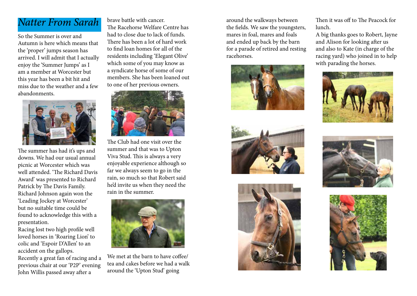# *Natter From Sarah*

So the Summer is over and Autumn is here which means that the 'proper' jumps season has arrived. I will admit that I actually enjoy the 'Summer Jumps' as I am a member at Worcester but this year has been a bit hit and miss due to the weather and a few abandonments.



The summer has had it's ups and downs. We had our usual annual picnic at Worcester which was well attended. 'The Richard Davis Award' was presented to Richard Patrick by The Davis Family. Richard Johnson again won the 'Leading Jockey at Worcester' but no suitable time could be found to acknowledge this with a presentation.

Racing lost two high profile well loved horses in 'Roaring Lion' to colic and 'Espoir D'Allen' to an accident on the gallops. Recently a great fan of racing and a previous chair at our 'P2P' evening John Willis passed away after a

brave battle with cancer. The Racehorse Welfare Centre has had to close due to lack of funds. There has been a lot of hard work to find loan homes for all of the residents including 'Elegant Olive' which some of you may know as a syndicate horse of some of our members. She has been loaned out to one of her previous owners.



The Club had one visit over the summer and that was to Upton Viva Stud. This is always a very enjoyable experience although so far we always seem to go in the rain, so much so that Robert said he'd invite us when they need the rain in the summer.



We met at the barn to have coffee/ tea and cakes before we had a walk around the 'Upton Stud' going

around the walkways between the fields. We saw the youngsters, mares in foal, mares and foals and ended up back by the barn for a parade of retired and resting racehorses.







Then it was off to The Peacock for lunch.

A big thanks goes to Robert, Jayne and Alison for looking after us and also to Kate (in charge of the racing yard) who joined in to help with parading the horses.





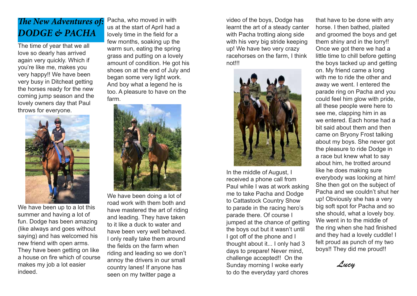# *The New Adventures of: DODGE & PACHA*

The time of year that we all love so dearly has arrived again very quickly. Which if you're like me, makes you very happy!! We have been very busy in Ditcheat getting the horses ready for the new coming jump season and the lovely owners day that Paul throws for everyone.



We have been up to a lot this summer and having a lot of fun. Dodge has been amazing (like always and goes without saying) and has welcomed his new friend with open arms. They have been getting on like a house on fire which of course makes my job a lot easier indeed.

Pacha, who moved in with us at the start of April had a lovely time in the field for a few months, soaking up the warm sun, eating the spring grass and putting on a lovely amount of condition. He got his shoes on at the end of July and began some very light work. And boy what a legend he is too. A pleasure to have on the farm.



We have been doing a lot of road work with them both and have mastered the art of riding and leading. They have taken to it like a duck to water and have been very well behaved. I only really take them around the fields on the farm when riding and leading so we don't annoy the drivers in our small country lanes! If anyone has seen on my twitter page a

video of the boys, Dodge has learnt the art of a steady canter with Pacha trotting along side with his very big stride keeping up! We have two very crazy racehorses on the farm, I think not!!!



In the middle of August, I received a phone call from Paul while I was at work asking me to take Pacha and Dodge to Cattastock Country Show to parade in the racing hero's parade there. Of course I jumped at the chance of getting the boys out but it wasn't until I got off of the phone and I thought about it... I only had 3 days to prepare! Never mind, challenge accepted!! On the Sunday morning I woke early to do the everyday yard chores

that have to be done with any horse. I then bathed, plaited and groomed the boys and get them shiny and in the lorry!! Once we got there we had a little time to chill before getting the boys tacked up and getting on. My friend came a long with me to ride the other and away we went. I entered the parade ring on Pacha and you could feel him glow with pride, all these people were here to see me, clapping him in as we entered. Each horse had a bit said about them and then came on Bryony Frost talking about my boys. She never got the pleasure to ride Dodge in a race but knew what to say about him, he trotted around like he does making sure everybody was looking at him! She then got on the subject of Pacha and we couldn't shut her up! Obviously she has a very big soft spot for Pacha and so she should, what a lovely boy. We went in to the middle of the ring when she had finished and they had a lovely cuddle! I felt proud as punch of my two boys!! They did me proud!!

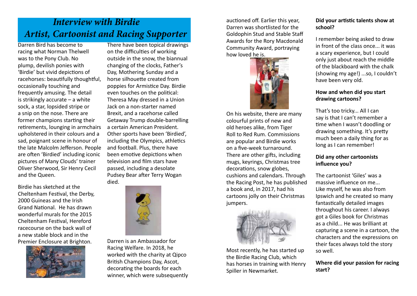# *Interview with Birdie Artist, Cartoonist and Racing Supporter*

Darren Bird has become to racing what Norman Thelwell was to the Pony Club. No plump, devilish ponies with 'Birdie' but vivid depictions of racehorses: beautifully thoughtful, occasionally touching and frequently amusing. The detail is strikingly accurate – a white sock, a star, lopsided stripe or a snip on the nose. There are former champions starting their retirements, lounging in armchairs upholstered in their colours and a sad, poignant scene in honour of the late Malcolm Jefferson. People are often 'Birdied' including iconic pictures of Many Clouds' trainer Oliver Sherwood, Sir Henry Cecil and the Queen.

Birdie has sketched at the Cheltenham Festival, the Derby, 2000 Guineas and the Irish Grand National. He has drawn wonderful murals for the 2015 Cheltenham Festival, Hereford racecourse on the back wall of a new stable block and in the Premier Enclosure at Brighton.



There have been topical drawings on the difficulties of working outside in the snow, the biannual changing of the clocks, Father's Day, Mothering Sunday and a horse silhouette created from poppies for Armistice Day. Birdie even touches on the political: Theresa May dressed in a Union Jack on a non-starter named Brexit, and a racehorse called Getaway Trump double-barrelling a certain American President. Other sports have been 'Birdied', including the Olympics, athletics and football. Plus, there have been emotive depictions when television and film stars have passed, including a desolate Pudsey Bear after Terry Wogan died.



Darren is an Ambassador for Racing Welfare. In 2018, he worked with the charity at Qipco British Champions Day, Ascot, decorating the boards for each winner, which were subsequently

auctioned off. Earlier this year, Darren was shortlisted for the Goldophin Stud and Stable Staff Awards for the Rory Macdonald Community Award, portraying how loved he is.



On his website, there are many colourful prints of new and old heroes alike, from Tiger Roll to Red Rum. Commissions are popular and Birdie works on a five-week turnaround. There are other gifts, including mugs, keyrings, Christmas tree decorations, snow globes, cushions and calendars. Through the Racing Post, he has published a book and, in 2017, had his cartoons jolly on their Christmas jumpers.



Most recently, he has started up the Birdie Racing Club, which has horses in training with Henry Spiller in Newmarket.

### **Did your artistic talents show at school?**

I remember being asked to draw in front of the class once... it was a scary experience, but I could only just about reach the middle of the blackboard with the chalk (showing my age!) ...so, I couldn't have been very old.

### **How and when did you start drawing cartoons?**

That's too tricky... All I can say is that I can't remember a time when I wasn't doodling or drawing something. It's pretty much been a daily thing for as long as I can remember!

## **Did any other cartoonists influence you?**

The cartoonist 'Giles' was a massive influence on me... Like myself, he was also from Ipswich and he created so many fantastically detailed images throughout his career. I always got a Giles book for Christmas as a child... He was brilliant at capturing a scene in a cartoon, the characters and the expressions on their faces always told the story so well.

### **Where did your passion for racing start?**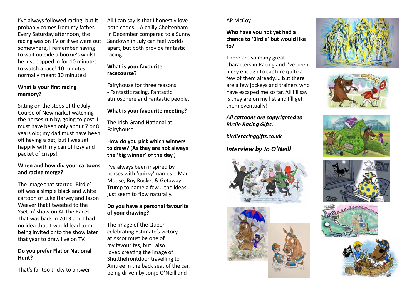I've always followed racing, but it probably comes from my father. Every Saturday afternoon, the racing was on TV or if we were out somewhere, I remember having to wait outside a bookie's whilst he just popped in for 10 minutes to watch a race! 10 minutes normally meant 30 minutes!

### **What is your first racing memory?**

Sitting on the steps of the July Course of Newmarket watching the horses run by, going to post. I must have been only about 7 or 8 years old; my dad must have been off having a bet, but I was sat happily with my can of fizzy and packet of crisps!

## **When and how did your cartoons and racing merge?**

The image that started 'Birdie' off was a simple black and white cartoon of Luke Harvey and Jason Weaver that I tweeted to the 'Get In' show on At The Races. That was back in 2013 and I had no idea that it would lead to me being invited onto the show later that year to draw live on TV.

### **Do you prefer Flat or National Hunt?**

That's far too tricky to answer!

All I can say is that I honestly love both codes... A chilly Cheltenham in December compared to a Sunny Sandown in July can feel worlds apart, but both provide fantastic racing.

# **What is your favourite racecourse?**

Fairyhouse for three reasons - Fantastic racing, Fantastic atmosphere and Fantastic people.

# **What is your favourite meeting?**

The Irish Grand National at Fairyhouse

**How do you pick which winners to draw? (As they are not always the 'big winner' of the day.)**

I've always been inspired by horses with 'quirky' names... Mad Moose, Roy Rocket & Getaway Trump to name a few... the ideas just seem to flow naturally.

### **Do you have a personal favourite of your drawing?**

The image of the Queen celebrating Estimate's victory at Ascot must be one of my favourites, but I also loved creating the image of Shutthefrontdoor travelling to Aintree in the back seat of the car, being driven by Jonjo O'Neill and

# AP McCoy!

**Who have you not yet had a chance to 'Birdie' but would like to?**

There are so many great characters in Racing and I've been lucky enough to capture quite a few of them already.... but there are a few jockeys and trainers who have escaped me so far. All I'll say is they are on my list and I'll get them eventually!

### *All cartoons are copyrighted to Birdie Racing Gifts.*

*birdieracinggifts.co.uk*

# *Interview by Jo O'Neill*















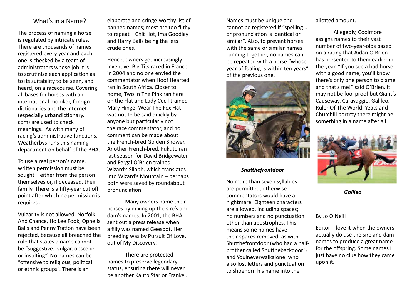# What's in a Name?

The process of naming a horse is regulated by intricate rules. There are thousands of names registered every year and each one is checked by a team of administrators whose job it is to scrutinise each application as to its suitability to be seen, and heard, on a racecourse. Covering all bases for horses with an international moniker, foreign dictionaries and the internet (especially urbandictionary. com) are used to check meanings. As with many of racing's administrative functions, Weatherbys runs this naming department on behalf of the BHA.

To use a real person's name, written permission must be sought – either from the person themselves or, if deceased, their family. There is a fifty-year cut off point after which no permission is required.

Vulgarity is not allowed. Norfolk And Chance, Ho Lee Fook, Ophelia Balls and Penny Tration have been rejected, because all breached the rule that states a name cannot be "suggestive…vulgar, obscene or insulting". No names can be "offensive to religious, political or ethnic groups". There is an

elaborate and cringe-worthy list of banned names; most are too filthy to repeat – Chit Hot, Ima Goodlay and Harry Balls being the less crude ones.

Hence, owners get increasingly inventive. Big Tits raced in France in 2004 and no one envied the commentator when Hoof Hearted ran in South Africa. Closer to home, Two In The Pink ran here on the Flat and Lady Cecil trained Mary Hinge. Wear The Fox Hat was not to be said quickly by anyone but particularly not the race commentator, and no comment can be made about the French-bred Golden Shower. Another French-bred, Fukuto ran last season for David Bridgewater and Fergal O'Brien trained Wizard's Sliabh, which translates into Wizard's Mountain – perhaps both were saved by roundabout pronunciation.

Many owners name their horses by mixing up the sire's and dam's names. In 2001, the BHA sent out a press release when a filly was named Geespot. Her breeding was by Pursuit Of Love, out of My Discovery!

There are protected names to preserve legendary status, ensuring there will never be another Kauto Star or Frankel. Names must be unique and cannot be registered if "spelling… or pronunciation is identical or similar". Also, to prevent horses with the same or similar names running together, no names can be repeated with a horse "whose year of foaling is within ten years" of the previous one.



### *Shutthefrontdoor*

No more than seven syllables are permitted, otherwise commentators would have a nightmare. Eighteen characters are allowed, including spaces; no numbers and no punctuation other than apostrophes. This means some names have their spaces removed, as with Shutthefrontdoor (who had a halfbrother called Shutthebackdoor!) and Youlneverwalkalone, who also lost letters and punctuation to shoehorn his name into the

allotted amount.

Allegedly, Coolmore assigns names to their vast number of two-year-olds based on a rating that Aidan O'Brien has presented to them earlier in the year. "If you see a bad horse with a good name, you'll know there's only one person to blame and that's me!" said O'Brien. It may not be fool proof but Giant's Causeway, Caravaggio, Galileo, Ruler Of The World, Yeats and Churchill portray there might be something in a name after all.



*Galileo*

### By Jo O'Neill

Editor: I love it when the owners actually do use the sire and dam names to produce a great name for the offspring. Some names I just have no clue how they came upon it.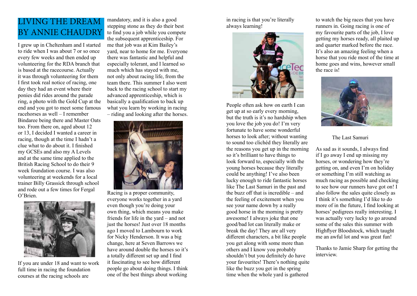# LIVING THE DREAM BY ANNIE CHAUDRY

I grew up in Cheltenham and I started to ride when I was about 7 or so once every few weeks and then ended up volunteering for the RDA branch that is based at the racecourse. Actually it was through volunteering for them I first took real notice of racing, one day they had an event where their ponies did rides around the parade ring, a photo with the Gold Cup at the end and you got to meet some famous racehorses as well – I remember Bindaree being there and Master Oats too. From there on, aged about 12 or 13, I decided I wanted a career in racing, though at the time I hadn't a clue what to do about it. I finished my GCSEs and also my A Levels and at the same time applied to the British Racing School to do their 9 week foundation course. I was also volunteering at weekends for a local trainer Billy Grassick through school and rode out a few times for Fergal O'Brien.



If you are under 18 and want to work full time in racing the foundation courses at the racing schools are

mandatory, and it is also a good stepping stone as they do their best to find you a job while you compete the subsequent apprenticeship. For me that job was at Kim Bailey's yard, near to home for me. Everyone there was fantastic and helpful and especially tolerant, and I learned so much which has stayed with me, not only about racing life, from the team there. This summer I also went back to the racing school to start my advanced apprenticeship, which is basically a qualification to back up what you learn by working in racing – riding and looking after the horses.



Racing is a proper community, everyone works together in a yard even though you're doing your own thing, which means you make friends for life in the yard – and not just the horses! Just over 18 months ago I moved to Lambourn to work for Nicky Henderson. It was a big change, here at Seven Barrows we have around double the horses so it's a totally different set up and I find it fascinating to see how different people go about doing things. I think one of the best things about working

in racing is that you're literally always learning!



People often ask how on earth I can get up at so early every morning, but the truth is it's no hardship when you love the job you do! I'm very fortunate to have some wonderful horses to look after; without wanting to sound too clichéd they literally are the reasons you get up in the morning so it's brilliant to have things to look forward to, especially with the young horses because they literally could be anything! I've also been lucky enough to ride fantastic horses like The Last Samuri in the past and the buzz off that is incredible – and the feeling of excitement when you see your name down by a really good horse in the morning is pretty awesome! I always joke that one good/bad lot can literally make or break the day! They are all very different characters, a bit like people you get along with some more than others and I know you probably shouldn't but you definitely do have your favourites! There's nothing quite like the buzz you get in the spring time when the whole yard is gathered

to watch the big races that you have runners in. Going racing is one of my favourite parts of the job, I love getting my horses ready, all plaited up and quarter marked before the race. It's also an amazing feeling when a horse that you ride most of the time at home goes and wins, however small the race is!



The Last Samuri

As sad as it sounds, I always find if I go away I end up missing my horses, or wondering how they're getting on, and even I'm on holiday or something I'm still watching as much racing as possible and checking to see how our runners have got on! I also follow the sales quite closely as I think it's something I'd like to do more of in the future, I find looking at horses' pedigrees really interesting. I was actually very lucky to go around some of the sales this summer with Highflyer Bloodstock, which taught me an awful lot and was great fun!

Thanks to Jamie Sharp for getting the interview.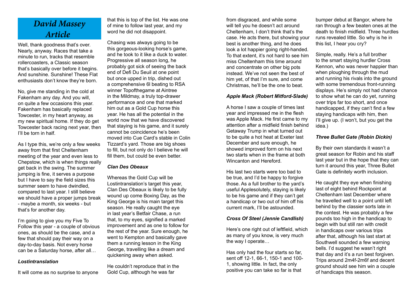# *David Massey Article*

Well, thank goodness that's over. Nearly, anyway. Races that take a minute to run, tracks that resemble rollercoasters, a Classic season that's basically over before it begins. And sunshine. Sunshine! These Flat enthusiasts don't know they're born.

No, give me standing in the cold at Fakenham any day. And you will, on quite a few occasions this year. Fakenham has basically replaced Towcester, in my heart anyway, as my new spiritual home. If they do get Towcester back racing next year, then I'll be torn in half.

As I type this, we're only a few weeks away from that first Cheltenham meeting of the year and even less to Chepstow, which is when things really get back in the swing. The summer jumping is fine, it serves a purpose but I have to say the field sizes this summer seem to have dwindled, compared to last year. I still believe we should have a proper jumps break - maybe a month, six weeks - but that's for another day.

I'm going to give you my Five To Follow this year - a couple of obvious ones, as should be the case, and a few that should pay their way on a day-to-day basis. Not every horse can be a Saturday horse, after all…

#### *Lostintranslation*

It will come as no surprise to anyone

that this is top of the list. He was one of mine to follow last year, and my word he did not disappoint.

Chasing was always going to be this gorgeous-looking horse's game, and he took to it like a duck to water. Progressive all season long, he probably got sick of seeing the back end of Defi Du Seuil at one point but once upped in trip, dished out a comprehensive 6l beating to RSA winner Topofthegame at Aintree in the Mildmay, a truly top-drawer performance and one that marked him out as a Gold Cup horse this year. He has all the potential in the world now that we have discovered that staying is his game, and it surely cannot be coincidence he's been moved into Cue Card's stable in Colin Tizzard's yard. Those are big shoes to fill, but not only do I believe he will fill them, but could be even better.

#### *Clan Des Obeaux*

Whereas the Gold Cup will be Lostintranslation's target this year, Clan Des Obeaux is likely to be fully wound up come Boxing Day, as the King George is his main target this season. He really caught the eye in last year's Betfair Chase, a run that, to my eyes, signified a marked improvement and as one to follow for the rest of the year. Sure enough, he went to Kempton and basically gave them a running lesson in the King George, travelling like a dream and quickening away when asked.

He couldn't reproduce that in the Gold Cup, although he was far

from disgraced, and while some will tell you he doesn't act around Cheltenham, I don't think that's the case. He acts there, but showing your best is another thing, and he does look a lot happier going right-handed. To that extent, it's not hard to see him miss Cheltenham this time around and concentrate on other big pots instead. We've not seen the best of him yet, of that I'm sure, and come Christmas, he'll be the one to beat.

#### *Apple Mack (Robert Mitford-Slade)*

A horse I saw a couple of times last year and impressed me in the flesh was Apple Mack. He first came to my attention after a midfield finish behind Getaway Trump in what turned out to be quite a hot heat at Exeter last December and sure enough, he showed improved form on his next two starts when in the frame at both Wincanton and Hereford.

His last two starts were too bad to be true, and I'd be happy to forgive those. As a full brother to the yard's useful Applesolutely, staying is likely to be his game and if they can't get a handicap or two out of him off his current mark, I'll be astounded.

#### *Cross Of Steel (Jennie Candlish)*

Here's one right out of leftfield, which as many of you know, is very much the way I operate…

Has only had the four starts so far, sent off 12-1, 66-1, 150-1 and 100- 1, showing little. In fact, the only positive you can take so far is that

bumper debut at Bangor, where he ran through a few beaten ones at the death to finish midfield. Three hurdles runs revealed little. So why is he in this list, I hear you cry?

Simple, really. He's a full brother to the smart staying hurdler Cross Kennon, who was never happier than when ploughing through the mud and running his rivals into the ground with some tremendous front-running displays. He's simply not had chance to show what he can do yet, running over trips far too short, and once handicapped, if they can't find a few staying handicaps with him, then I'll give up. (I won't, but you get the idea.)

#### *Three Bullet Gate (Robin Dickin)*

By their own standards it wasn't a great season for Robin and his staff last year but in the hope that they can turn it around this year, Three Bullet Gate is definitely worth inclusion.

He caught they eye when finishing last of eight behind Rockpoint at Cheltenham last December where he travelled well to a point until left behind by the classier sorts late in the contest. He was probably a few pounds too high in the handicap to begin with but still ran with credit in handicaps over various trips after that, although his last start at Southwell sounded a few warning bells. I'd suggest he wasn't right that day and it's a run best forgiven. Trips around 2m4f-2m6f and decent ground should see him win a couple of handicaps this season.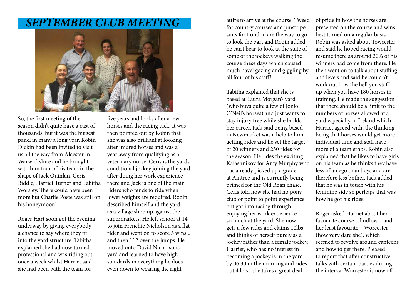# *SEPTEMBER CLUB MEETING*



So, the first meeting of the season didn't quite have a cast of thousands, but it was the biggest panel in many a long year. Robin Dickin had been invited to visit us all the way from Alcester in Warwickshire and he brought with him four of his team in the shape of Jack Quinlan, Ceris Biddle, Harriet Turner and Tabitha Worsley. There could have been more but Charlie Poste was still on his honeymoon!

Roger Hart soon got the evening underway by giving everybody a chance to say where they fit into the yard structure. Tabitha explained she had now turned professional and was riding out once a week whilst Harriet said she had been with the team for

five years and looks after a few horses and the racing tack. It was then pointed out by Robin that she was also brilliant at looking after injured horses and was a year away from qualifying as a veterinary nurse. Ceris is the yards conditional jockey joining the yard after doing her work experience there and Jack is one of the main riders who tends to ride when lower weights are required. Robin described himself and the yard as a village shop up against the supermarkets. He left school at 14 to join Frenchie Nicholson as a flat rider and went on to score 3 wins... and then 112 over the jumps. He moved onto David Nicholsons' yard and learned to have high standards in everything he does even down to wearing the right

attire to arrive at the course. Tweed for country courses and pinstripe suits for London are the way to go to look the part and Robin added he can't bear to look at the state of some of the jockeys walking the course these days which caused much navel gazing and giggling by all four of his staff!

Tabitha explained that she is based at Laura Morgan's yard (who buys quite a few of Jonjo O'Neil's horses) and just wants to stay injury free while she builds her career. Jack said being based in Newmarket was a help to him getting rides and he set the target of 20 winners and 250 rides for the season. He rides the exciting Kalashnikov for Amy Murphy who has already picked up a grade 1 at Aintree and is currently being primed for the Old Roan chase. Ceris told how she had no pony club or point to point experience but got into racing through enjoying her work experience so much at the yard. She now gets a few rides and claims 10lbs and thinks of herself purely as a jockey rather than a female jockey. Harriet, who has no interest in becoming a jockey is in the yard by 06.30 in the morning and rides out 4 lots, she takes a great deal

of pride in how the horses are presented on the course and wins best turned on a regular basis. Robin was asked about Towcester and said he hoped racing would resume there as around 20% of his winners had come from there. He then went on to talk about staffing and levels and said he couldn't work out how the hell you staff up when you have 180 horses in training. He made the suggestion that there should be a limit to the numbers of horses allowed at a yard especially in Ireland which Harriet agreed with, the thinking being that horses would get more individual time and staff have more of a team ethos. Robin also explained that he likes to have girls on his team as he thinks they have less of an ego than boys and are therefore less bother. Jack added that he was in touch with his feminine side so perhaps that was how he got his rides.

Roger asked Harriet about her favourite course – Ludlow – and her least favourite – Worcester (how very dare she), which seemed to revolve around canteens and how to get there. Pleased to report that after constructive talks with certain parties during the interval Worcester is now off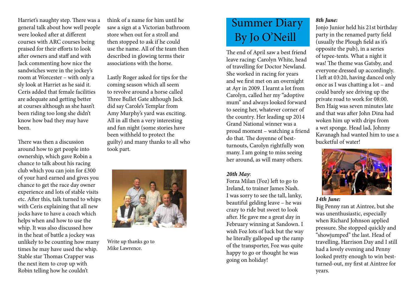Harriet's naughty step. There was a general talk about how well people were looked after at different courses with ARC courses being praised for their efforts to look after owners and staff and with Jack commenting how nice the sandwiches were in the jockey's room at Worcester – with only a sly look at Harriet as he said it. Ceris added that female facilities are adequate and getting better at courses although as she hasn't been riding too long she didn't know how bad they may have been.

There was then a discussion around how to get people into ownership, which gave Robin a chance to talk about his racing club which you can join for £300 of your hard earned and gives you chance to get the race day owner experience and lots of stable visits etc. After this, talk turned to whips with Ceris explaining that all new jocks have to have a coach which helps when and how to use the whip. It was also discussed how in the heat of battle a jockey was unlikely to be counting how many times he may have used the whip. Stable star Thomas Crapper was the next item to crop up with Robin telling how he couldn't

think of a name for him until he saw a sign at a Victorian bathroom store when out for a stroll and then stopped to ask if he could use the name. All of the team then described in glowing terms their associations with the horse.

Lastly Roger asked for tips for the coming season which all seem to revolve around a horse called Three Bullet Gate although Jack did say Carole's Templar from Amy Murphy's yard was exciting. All in all then a very interesting and fun night (some stories have been withheld to protect the guilty) and many thanks to all who took part.



Write up thanks go to Mike Lawrence.

# Summer Diary By Jo O'Neill

The end of April saw a best friend leave racing: Carolyn White, head of travelling for Doctor Newland. She worked in racing for years and we first met on an overnight at Ayr in 2009. I learnt a lot from Carolyn, called her my "adoptive mum" and always looked forward to seeing her, whatever corner of the country. Her leading up 2014 Grand National winner was a proud moment – watching a friend do that. The doyenne of bestturnouts, Carolyn rightfully won many. I am going to miss seeing her around, as will many others.

## *20th May*:

Forza Milan (Foz) left to go to Ireland, to trainer James Nash. I was sorry to see the tall, lanky, beautiful gelding leave – he was crazy to ride but sweet to look after. He gave me a great day in February winning at Sandown. I wish Foz lots of luck but the way he literally galloped up the ramp of the transporter, Foz was quite happy to go or thought he was going on holiday!

# *8th June:*

Jonjo Junior held his 21st birthday party in the renamed party field (usually the Plough field as it's opposite the pub), in a series of tepee-tents. What a night it was! The theme was Gatsby, and everyone dressed up accordingly. I left at 03:20, having danced only once as I was chatting a lot – and could barely see driving up the private road to work for 08:00. Ben Haig was seven minutes late and that was after John Dina had woken him up with drips from a wet sponge. Head lad, Johnny Kavanagh had wanted him to use a bucketful of water!



### *14th June:*

Big Penny ran at Aintree, but she was unenthusiastic, especially when Richard Johnson applied pressure. She stopped quickly and "showjumped" the last. Head of travelling, Harrison Day and I still had a lovely evening and Penny looked pretty enough to win bestturned-out, my first at Aintree for years.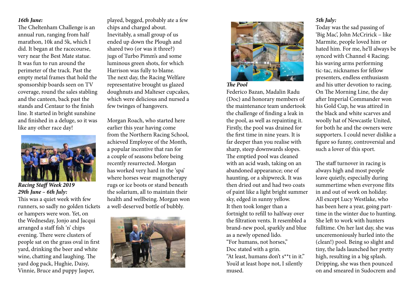### *16th June:*

The Cheltenham Challenge is an annual run, ranging from half marathon, 10k and 5k, which I did. It began at the racecourse, very near the Best Mate statue. It was fun to run around the perimeter of the track. Past the empty metal frames that hold the sponsorship boards seen on TV coverage, round the sales stabling and the canteen, back past the stands and Centaur to the finish line. It started in bright sunshine and finished in a deluge, so it was like any other race day!



*Racing Staff Week 2019 29th June – 6th July:*

This was a quiet week with few runners, so sadly no golden tickets or hampers were won. Yet, on the Wednesday, Jonjo and Jacqui arranged a staff fish 'n' chips evening. There were clusters of people sat on the grass oval in first yard, drinking the beer and white wine, chatting and laughing. The yard dog pack, Hughie, Daisy, Vinnie, Bruce and puppy Jasper,

played, begged, probably ate a few chips and charged about. Inevitably, a small group of us ended up down the Plough and shared two (or was it three?) jugs of Turbo Pimm's and some luminous green shots, for which Harrison was fully to blame. The next day, the Racing Welfare representative brought us glazed doughnuts and Malteser cupcakes, which were delicious and nursed a few twinges of hangovers.

Morgan Roach, who started here earlier this year having come from the Northern Racing School, achieved Employee of the Month, a popular incentive that ran for a couple of seasons before being recently resurrected. Morgan has worked very hard in the 'spa' where horses wear magnotherapy rugs or ice boots or stand beneath the solarium, all to maintain their health and wellbeing. Morgan won a well-deserved bottle of bubbly.





#### *The Pool*

Federico Bazan, Madalin Radu (Doc) and honorary members of the maintenance team undertook the challenge of finding a leak in the pool, as well as repainting it. Firstly, the pool was drained for the first time in nine years. It is far deeper than you realise with sharp, steep downwards slopes. The emptied pool was cleaned with an acid wash, taking on an abandoned appearance; one of haunting, or a shipwreck. It was then dried out and had two coats of paint like a light bright summer sky, edged in sunny yellow. It then took longer than a fortnight to refill to halfway over the filtration vents. It resembled a brand-new pool, sparkly and blue as a newly opened lido. "For humans, not horses," Doc stated with a grin. "At least, humans don't s\*\*t in it." You'd at least hope not, I silently mused.

### *5th July:*

Today was the sad passing of 'Big Mac', John McCririck – like Marmite, people loved him or hated him. For me, he'll always be synced with Channel 4 Racing; his waving arms performing tic-tac, nicknames for fellow presenters, endless enthusiasm and his utter devotion to racing. On The Morning Line, the day after Imperial Commander won his Gold Cup, he was attired in the black and white scarves and woolly hat of Newcastle United, for both he and the owners were supporters. I could never dislike a figure so funny, controversial and such a lover of this sport.

The staff turnover in racing is always high and most people leave quietly, especially during summertime when everyone flits in and out of work on holiday. All except Lucy Westlake, who has been here a year, going parttime in the winter due to hunting. She left to work with hunters fulltime. On her last day, she was unceremoniously hurled into the (clean!) pool. Being so slight and tiny, the lads launched her pretty high, resulting in a big splash. Dripping, she was then pounced on and smeared in Sudocrem and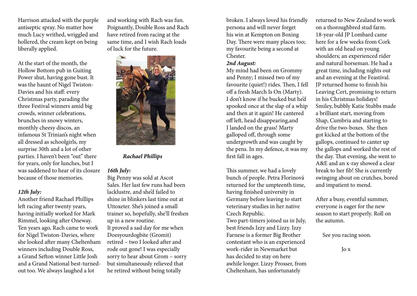Harrison attacked with the purple antiseptic spray. No matter how much Lucy writhed, wriggled and hollered, the cream kept on being liberally applied.

At the start of the month, the Hollow Bottom pub in Guiting Power shut, having gone bust. It was the haunt of Nigel Twiston-Davies and his staff: every Christmas party, parading the three Festival winners amid big crowds, winner celebrations, brunches in snowy winters, monthly cheesy discos, an infamous St Trinian's night when all dressed as schoolgirls, my surprise 30th and a lot of other parties. I haven't been "out" there for years, only for lunches, but I was saddened to hear of its closure because of those memories.

### *12th July:*

Another friend Rachael Phillips left racing after twenty years, having initially worked for Mark Rimmel, looking after Oneway. Ten years ago, Rach came to work for Nigel Twiston-Davies, where she looked after many Cheltenham winners including Double Ross, a Grand Sefton winner Little Josh and a Grand National best-turnedout too. We always laughed a lot

and working with Rach was fun. Poignantly, Double Ross and Rach have retired from racing at the same time, and I wish Rach loads of luck for the future.



 *Rachael Phillips*

### *16th July:*

Big Penny was sold at Ascot Sales. Her last few runs had been lacklustre, and she'd failed to shine in blinkers last time out at Uttoxeter. She's joined a small trainer so, hopefully, she'll freshen up in a new routine. It proved a sad day for me when Doesyourdogbite (Gromit) retired – two I looked after and rode out gone! I was especially sorry to hear about Grom – sorry but simultaneously relieved that he retired without being totally

broken. I always loved his friendly persona and will never forget his win at Kempton on Boxing Day. There were many places too; my favourite being a second at Chester.

#### *2nd August:*

My mind had been on Grommy and Penny; I missed two of my favourite (quiet!) rides. Then, I fell off a fresh March Is On (Marty). I don't know if he bucked but he'd spooked once at the slap of a whip and then at it again! He cantered off left, head disappearing,and I landed on the grass! Marty galloped off, through some undergrowth and was caught by the pens. In my defence, it was my first fall in ages.

This summer, we had a lovely bunch of people. Petra Florinová returned for the umpteenth time, having finished university in Germany before leaving to start veterinary studies in her native Czech Republic.

Two part-timers joined us in July, best friends Izzy and Lizzy. Izzy Farnese is a former Big Brother contestant who is an experienced work-rider in Newmarket but has decided to stay on here awhile longer. Lizzy Prosser, from Cheltenham, has unfortunately

returned to New Zealand to work on a thoroughbred stud farm. 18-year-old JP Lombard came here for a few weeks from Cork with an old head on young shoulders; an experienced rider and natural horseman. He had a great time, including nights out and an evening at the Feastival. JP returned home to finish his Leaving Cert, promising to return in his Christmas holidays! Smiley, bubbly Katie Stubbs made a brilliant start, moving from Shap, Cumbria and starting to drive the two-boxes. She then got kicked at the bottom of the gallops, continued to canter up the gallops and worked the rest of the day. That evening, she went to A&E and an x-ray showed a clear break to her fib! She is currently swinging about on crutches, bored and impatient to mend.

After a busy, eventful summer, everyone is eager for the new season to start properly. Roll on the autumn.

See you racing soon.

Jo x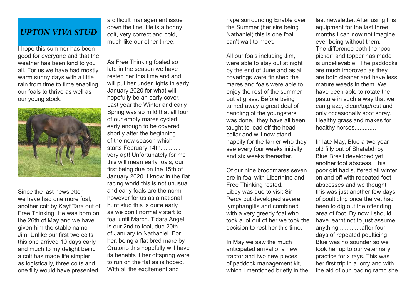# *UPTON VIVA STUD*

I hope this summer has been good for everyone and that the weather has been kind to you all. For us we have had mostly warm sunny days with a little rain from time to time enabling our foals to thrive as well as our young stock.



Since the last newsletter we have had one more foal, another colt by Kayf Tara out of Free Thinking. He was born on the 26th of May and we have given him the stable name Jim. Unlike our first two colts this one arrived 10 days early and much to my delight being a colt has made life simpler as logistically, three colts and one filly would have presented

a difficult management issue down the line. He is a bonny colt, very correct and bold, much like our other three.

As Free Thinking foaled so late in the season we have rested her this time and and will put her under lights in early January 2020 for what will hopefully be an early cover. Last year the Winter and early Spring was so mild that all four of our empty mares cycled early enough to be covered shortly after the beginning of the new season which starts February 14th............ very apt! Unfortunately for me this will mean early foals, our first being due on the 15th of January 2020. I know in the flat racing world this is not unusual and early foals are the norm however for us as a national hunt stud this is quite early as we don't normally start to foal until March. Tidara Angel is our 2nd to foal, due 20th of January to Nathaniel. For her, being a flat bred mare by Oratorio this hopefully will have its benefits if her offspring were to run on the flat as is hoped. With all the excitement and

hype surrounding Enable over the Summer (her sire being Nathaniel) this is one foal I can't wait to meet.

All our foals including Jim, were able to stay out at night by the end of June and as all coverings were finished the mares and foals were able to enjoy the rest of the summer out at grass. Before being turned away a great deal of handling of the youngsters was done, they have all been taught to lead off the head collar and will now stand happily for the farrier who they see every four weeks initially and six weeks thereafter.

Of our nine broodmares seven are in foal with Liberthine and Free Thinking rested. Libby was due to visit Sir Percy but developed severe lymphangitis and combined with a very greedy foal who took a lot out of her we took the decision to rest her this time.

In May we saw the much anticipated arrival of a new tractor and two new pieces of paddock management kit, which I mentioned briefly in the last newsletter. After using this equipment for the last three months I can now not imagine ever being without them. The difference both the "poo picker" and topper has made is unbelievable. The paddocks are much improved as they are both cleaner and have less mature weeds in them. We have been able to rotate the pasture in such a way that we can graze, clean/top/rest and only occasionally spot spray. Healthy grassland makes for healthy horses.............

In late May, Blue a two year old filly out of Shatabdi by Blue Bresil developed yet another foot abscess. This poor girl had suffered all winter on and off with repeated foot abscesses and we thought this was just another few days of poulticIng once the vet had been to dig out the offending area of foot. By now I should have learnt not to just assume anything..............after four days of repeated poulticing Blue was no sounder so we took her up to our veterinary practice for x rays. This was her first trip in a lorry and with the aid of our loading ramp she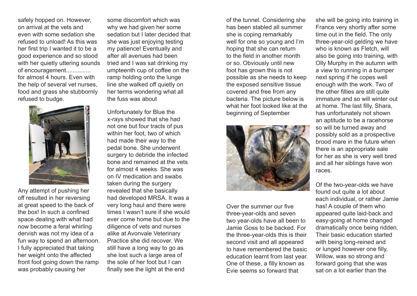safely hopped on. However, on arrival at the vets and even with some sedation she refused to unload! As this was her first trip I wanted it to be a good experience and so stood with her quietly uttering sounds of encouragement............... for almost 4 hours. Even with

the help of several vet nurses, food and grass she stubbornly refused to budge.



Any attempt of pushing her off resulted in her reversing at great speed to the back of the box! In such a confined space dealing with what had now become a feral whirling dervish was not my idea of a fun way to spend an afternoon. I fully appreciated that taking her weight onto the affected front foot going down the ramp was probably causing her

some discomfort which was why we had given her some sedation but I later decided that she was just enjoying testing my patience! Eventually and after all avenues had been tried and I was sat drinking my umpteenth cup of coffee on the ramp holding onto the lunge line she walked off quietly on her terms wondering what all the fuss was about

Unfortunately for Blue the x-rays showed that she had not one but four tracts of pus within her foot, two of which had made their way to the pedal bone. She underwent surgery to debride the infected bone and remained at the vets for almost 4 weeks. She was on IV medication and swabs taken during the surgery revealed that she basically had developed MRSA. It was a very long haul and there were times I wasn't sure if she would ever come home but due to the diligence of vets and nurses alike at Avonvale Veterinary Practice she did recover. We still have a long way to go as she lost such a large area of the sole of her foot but I can finally see the light at the end

of the tunnel. Considering she has been stabled all summer she is coping remarkably well for one so young and I'm hoping that she can return to the field in another month or so. Obviously until new foot has grown this is not possible as she needs to keep the exposed sensitive tissue covered and free from any bacteria. The picture below is what her foot looked like at the beginning of September



Over the summer our five three-year-olds and seven two year-olds have all been to Jamie Goss to be backed. For the three-year-olds this is their second visit and all appeared to have remembered the basic education learnt from last year. One of these, a filly known as Evie seems so forward that

she will be going into training in France very shortly after some time out in the field. The only three-year-old gelding we have who is known as Fletch, will also be going into training, with Olly Murphy in the autumn with a view to running in a bumper next spring if he copes well enough with the work. Two of the other fillies are still quite immature and so will winter out at home. The last filly, Shara, has unfortunately not shown an aptitude to be a racehorse so will be turned away and possibly sold as a prospective brood mare in the future when there is an appropriate sale for her as she is very well bred and all her siblings have won races.

Of the two-year-olds we have found out quite a lot about each individual, or rather Jamie has! A couple of them who appeared quite laid-back and easy-going at home changed dramatically once being ridden. Their basic education started with being long-reined and or lunged however one filly, Willow, was so strong and forward going that she was sat on a lot earlier than the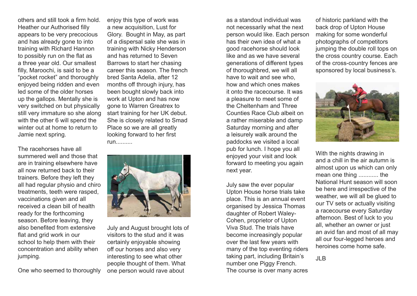others and still took a firm hold. Heather our Authorised filly appears to be very precocious and has already gone to into training with Richard Hannon to possibly run on the flat as a three year old. Our smallest filly, Maroochi, is said to be a "pocket rocket" and thoroughly enjoyed being ridden and even led some of the older horses up the gallops. Mentally she is very switched on but physically still very immature so she along with the other 6 will spend the winter out at home to return to Jamie next spring.

The racehorses have all summered well and those that are in training elsewhere have all now returned back to their trainers. Before they left they all had regular physio and chiro treatments, teeth were rasped, vaccinations given and all received a clean bill of health ready for the forthcoming season. Before leaving, they also benefited from extensive flat and grid work in our school to help them with their concentration and ability when jumping.

One who seemed to thoroughly

enjoy this type of work was a new acquisition, Lust for Glory. Bought in May, as part of a dispersal sale she was in training with Nicky Henderson and has returned to Seven Barrows to start her chasing career this season. The french bred Santa Adelia, after 12 months off through injury, has been bought slowly back into work at Upton and has now gone to Warren Greatrex to start training for her UK debut. She is closely related to Smad Place so we are all greatly looking forward to her first run..........



July and August brought lots of visitors to the stud and it was certainly enjoyable showing off our horses and also very interesting to see what other people thought of them. What one person would rave about

as a standout individual was not necessarily what the next person would like. Each person has their own idea of what a good racehorse should look like and as we have several generations of different types of thoroughbred, we will all have to wait and see who, how and which ones makes it onto the racecourse. It was a pleasure to meet some of the Cheltenham and Three Counties Race Club albeit on a rather miserable and damp Saturday morning and after a leisurely walk around the paddocks we visited a local pub for lunch. I hope you all enjoyed your visit and look forward to meeting you again next year.

July saw the ever popular Upton House horse trials take place. This is an annual event organised by Jessica Thomas daughter of Robert Waley-Cohen, proprietor of Upton Viva Stud. The trials have become increasingly popular over the last few years with many of the top eventing riders taking part, including Britain's number one Piggy French. The course is over many acres

of historic parkland with the back drop of Upton House making for some wonderful photographs of competitors jumping the double roll tops on the cross country course. Each of the cross-country fences are sponsored by local business's.



With the nights drawing in and a chill in the air autumn is almost upon us which can only mean one thing ............ the National Hunt season will soon be here and irrespective of the weather, we will all be glued to our TV sets or actually visiting a racecourse every Saturday afternoon. Best of luck to you all, whether an owner or just an avid fan and most of all may all our four-legged heroes and heroines come home safe.